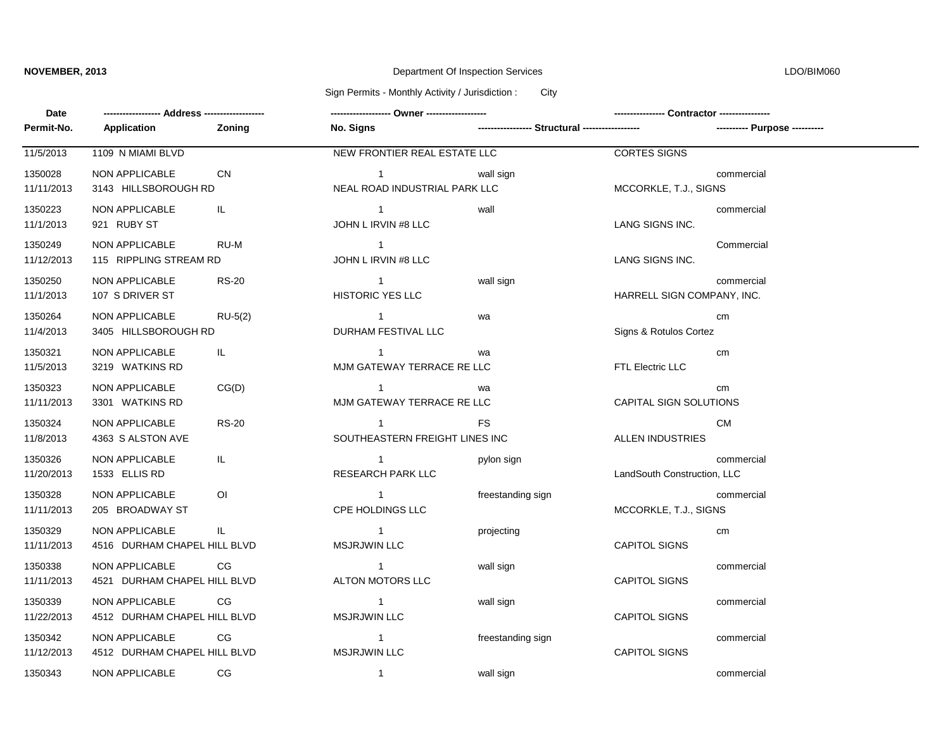## **NOVEMBER, 2013** Department Of Inspection Services

LDO/BIM060

Sign Permits - Monthly Activity / Jurisdiction : City

| Date                  |                                                |                |                                                  |                   |                             |                               |
|-----------------------|------------------------------------------------|----------------|--------------------------------------------------|-------------------|-----------------------------|-------------------------------|
| Permit-No.            | Application                                    | Zoning         | No. Signs                                        |                   |                             | ---------- Purpose ---------- |
| 11/5/2013             | 1109 N MIAMI BLVD                              |                | NEW FRONTIER REAL ESTATE LLC                     |                   | <b>CORTES SIGNS</b>         |                               |
| 1350028<br>11/11/2013 | <b>NON APPLICABLE</b><br>3143 HILLSBOROUGH RD  | CN             | $\mathbf 1$<br>NEAL ROAD INDUSTRIAL PARK LLC     | wall sign         | MCCORKLE, T.J., SIGNS       | commercial                    |
| 1350223<br>11/1/2013  | NON APPLICABLE<br>921 RUBY ST                  | IL.            | $\sim$ 1<br>JOHN L IRVIN #8 LLC                  | wall              | LANG SIGNS INC.             | commercial                    |
| 1350249<br>11/12/2013 | NON APPLICABLE<br>115 RIPPLING STREAM RD       | RU-M           | $\blacksquare$<br>JOHN L IRVIN #8 LLC            |                   | LANG SIGNS INC.             | Commercial                    |
| 1350250<br>11/1/2013  | <b>NON APPLICABLE</b><br>107 S DRIVER ST       | <b>RS-20</b>   | $\overline{1}$<br><b>HISTORIC YES LLC</b>        | wall sign         | HARRELL SIGN COMPANY, INC.  | commercial                    |
| 1350264<br>11/4/2013  | NON APPLICABLE<br>3405 HILLSBOROUGH RD         | $RU-5(2)$      | $\sim$ 1<br>DURHAM FESTIVAL LLC                  | wa                | Signs & Rotulos Cortez      | cm                            |
| 1350321<br>11/5/2013  | <b>NON APPLICABLE</b><br>3219 WATKINS RD       | IL.            | $\overline{1}$<br>MJM GATEWAY TERRACE RE LLC     | wa                | FTL Electric LLC            | cm                            |
| 1350323<br>11/11/2013 | <b>NON APPLICABLE</b><br>3301 WATKINS RD       | CG(D)          | $\overline{1}$<br>MJM GATEWAY TERRACE RE LLC     | wa                | CAPITAL SIGN SOLUTIONS      | cm                            |
| 1350324<br>11/8/2013  | NON APPLICABLE<br>4363 S ALSTON AVE            | <b>RS-20</b>   | $\overline{1}$<br>SOUTHEASTERN FREIGHT LINES INC | <b>FS</b>         | ALLEN INDUSTRIES            | <b>CM</b>                     |
| 1350326<br>11/20/2013 | NON APPLICABLE<br>1533 ELLIS RD                | IL.            | $\overline{1}$<br><b>RESEARCH PARK LLC</b>       | pylon sign        | LandSouth Construction, LLC | commercial                    |
| 1350328<br>11/11/2013 | <b>NON APPLICABLE</b><br>205 BROADWAY ST       | $\overline{O}$ | $\overline{1}$<br>CPE HOLDINGS LLC               | freestanding sign | MCCORKLE, T.J., SIGNS       | commercial                    |
| 1350329<br>11/11/2013 | NON APPLICABLE<br>4516 DURHAM CHAPEL HILL BLVD | IL.            | $\sim$ 1<br><b>MSJRJWIN LLC</b>                  | projecting        | <b>CAPITOL SIGNS</b>        | cm                            |
| 1350338<br>11/11/2013 | NON APPLICABLE<br>4521 DURHAM CHAPEL HILL BLVD | CG.            | $\overline{\phantom{1}}$<br>ALTON MOTORS LLC     | wall sign         | <b>CAPITOL SIGNS</b>        | commercial                    |
| 1350339<br>11/22/2013 | NON APPLICABLE<br>4512 DURHAM CHAPEL HILL BLVD | CG             | $\overline{1}$<br><b>MSJRJWIN LLC</b>            | wall sign         | <b>CAPITOL SIGNS</b>        | commercial                    |
| 1350342<br>11/12/2013 | NON APPLICABLE<br>4512 DURHAM CHAPEL HILL BLVD | CG             | $\sim$ 1<br><b>MSJRJWIN LLC</b>                  | freestanding sign | <b>CAPITOL SIGNS</b>        | commercial                    |
| 1350343               | NON APPLICABLE                                 | CG             | $\mathbf{1}$                                     | wall sign         |                             | commercial                    |